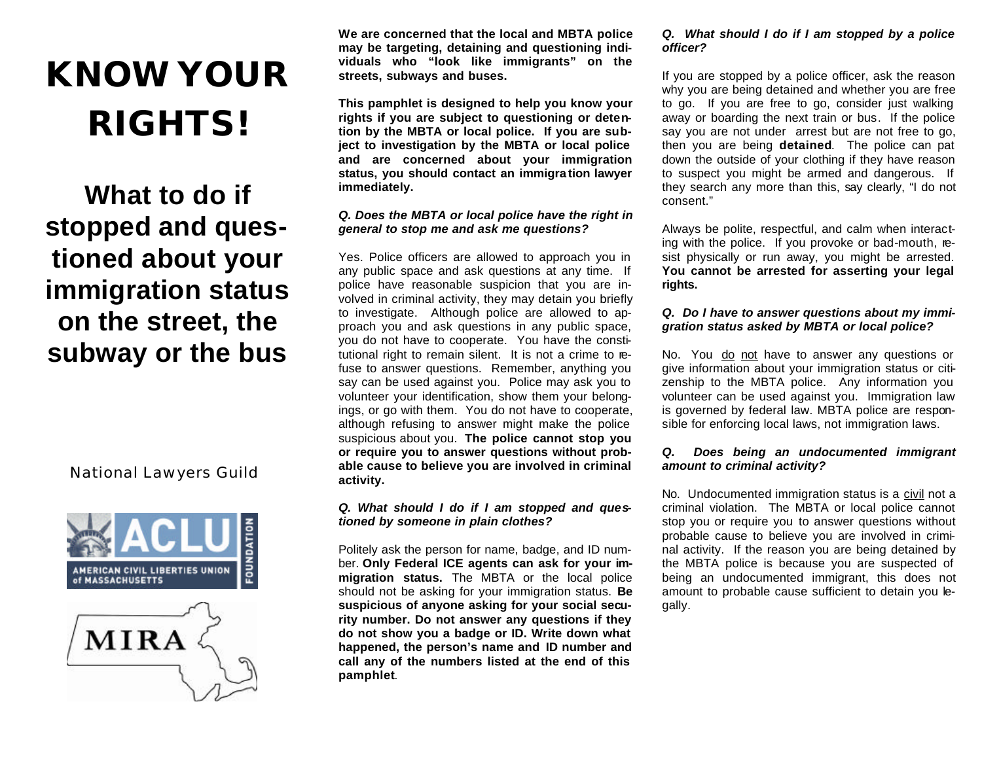# **KNOW YOUR RIGHTS!**

# **What to do if stopped and questioned about your immigration status on the street, the subway or the bus**

National Lawyers Guild





**We are concerned that the local and MBTA police may be targeting, detaining and questioning individuals who "look like immigrants" on the streets, subways and buses.** 

**This pamphlet is designed to help you know your rights if you are subject to questioning or detention by the MBTA or local police. If you are subject to investigation by the MBTA or local police and are concerned about your immigration status, you should contact an immigra tion lawyer immediately.**

# *Q. Does the MBTA or local police have the right in general to stop me and ask me questions?*

Yes. Police officers are allowed to approach you in any public space and ask questions at any time. If police have reasonable suspicion that you are involved in criminal activity, they may detain you briefly to investigate. Although police are allowed to approach you and ask questions in any public space, you do not have to cooperate. You have the constitutional right to remain silent. It is not a crime to refuse to answer questions. Remember, anything you say can be used against you. Police may ask you to volunteer your identification, show them your belongings, or go with them. You do not have to cooperate, although refusing to answer might make the police suspicious about you. **The police cannot stop you or require you to answer questions without probable cause to believe you are involved in criminal activity.** 

# *Q. What should I do if I am stopped and questioned by someone in plain clothes?*

Politely ask the person for name, badge, and ID number. **Only Federal ICE agents can ask for your immigration status.** The MBTA or the local police should not be asking for your immigration status. **Be suspicious of anyone asking for your social security number. Do not answer any questions if they do not show you a badge or ID. Write down what happened, the person's name and ID number and call any of the numbers listed at the end of this pamphlet**.

# *Q. What should I do if I am stopped by a police officer?*

If you are stopped by a police officer, ask the reason why you are being detained and whether you are free to go. If you are free to go, consider just walking away or boarding the next train or bus. If the police say you are not under arrest but are not free to go, then you are being **detained**. The police can pat down the outside of your clothing if they have reason to suspect you might be armed and dangerous. If they search any more than this, say clearly, "I do not consent."

Always be polite, respectful, and calm when interacting with the police. If you provoke or bad-mouth, resist physically or run away, you might be arrested. **You cannot be arrested for asserting your legal rights.**

# *Q. Do I have to answer questions about my immigration status asked by MBTA or local police?*

No. You do not have to answer any questions or give information about your immigration status or citizenship to the MBTA police. Any information you volunteer can be used against you. Immigration law is governed by federal law. MBTA police are responsible for enforcing local laws, not immigration laws.

# *Q. Does being an undocumented immigrant amount to criminal activity?*

No. Undocumented immigration status is a civil not a criminal violation. The MBTA or local police cannot stop you or require you to answer questions without probable cause to believe you are involved in criminal activity. If the reason you are being detained by the MBTA police is because you are suspected of being an undocumented immigrant, this does not amount to probable cause sufficient to detain you legally.